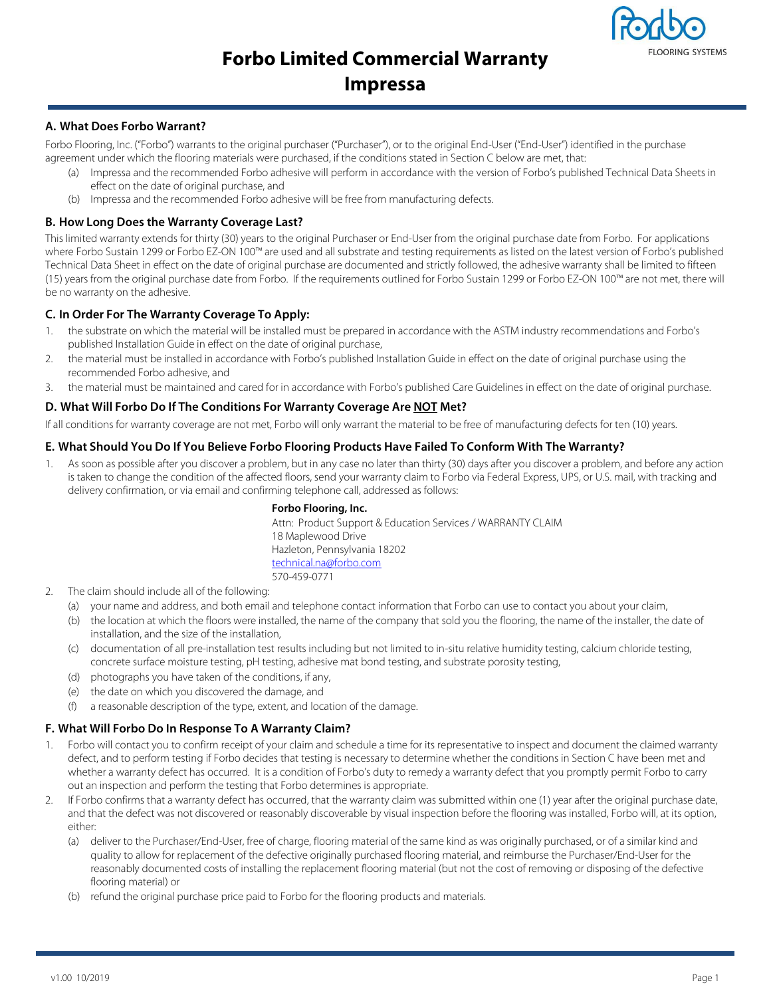# **Forbo Limited Commercial Warranty**



## **Impressa**

### **A. What Does Forbo Warrant?**

Forbo Flooring, Inc. ("Forbo") warrants to the original purchaser ("Purchaser"), or to the original End-User ("End-User") identified in the purchase agreement under which the flooring materials were purchased, if the conditions stated in Section C below are met, that:

- (a) Impressa and the recommended Forbo adhesive will perform in accordance with the version of Forbo's published Technical Data Sheets in effect on the date of original purchase, and
- (b) Impressa and the recommended Forbo adhesive will be free from manufacturing defects.

#### **B. How Long Does the Warranty Coverage Last?**

This limited warranty extends for thirty (30) years to the original Purchaser or End-User from the original purchase date from Forbo. For applications where Forbo Sustain 1299 or Forbo EZ-ON 100™ are used and all substrate and testing requirements as listed on the latest version of Forbo's published Technical Data Sheet in effect on the date of original purchase are documented and strictly followed, the adhesive warranty shall be limited to fifteen (15) years from the original purchase date from Forbo. If the requirements outlined for Forbo Sustain 1299 or Forbo EZ-ON 100™ are not met, there will be no warranty on the adhesive.

#### **C. In Order For The Warranty Coverage To Apply:**

- 1. the substrate on which the material will be installed must be prepared in accordance with the ASTM industry recommendations and Forbo's published Installation Guide in effect on the date of original purchase,
- 2. the material must be installed in accordance with Forbo's published Installation Guide in effect on the date of original purchase using the recommended Forbo adhesive, and
- 3. the material must be maintained and cared for in accordance with Forbo's published Care Guidelines in effect on the date of original purchase.

#### **D. What Will Forbo Do If The Conditions For Warranty Coverage Are NOT Met?**

If all conditions for warranty coverage are not met, Forbo will only warrant the material to be free of manufacturing defects for ten (10) years.

#### **E. What Should You Do If You Believe Forbo Flooring Products Have Failed To Conform With The Warranty?**

1. As soon as possible after you discover a problem, but in any case no later than thirty (30) days after you discover a problem, and before any action is taken to change the condition of the affected floors, send your warranty claim to Forbo via Federal Express, UPS, or U.S. mail, with tracking and delivery confirmation, or via email and confirming telephone call, addressed as follows:

#### **Forbo Flooring, Inc.**

Attn: Product Support & Education Services / WARRANTY CLAIM 18 Maplewood Drive Hazleton, Pennsylvania 18202 technical.na@forbo.com 570-459-0771

- 2. The claim should include all of the following:
	- (a) your name and address, and both email and telephone contact information that Forbo can use to contact you about your claim,
	- (b) the location at which the floors were installed, the name of the company that sold you the flooring, the name of the installer, the date of installation, and the size of the installation,
	- (c) documentation of all pre-installation test results including but not limited to in-situ relative humidity testing, calcium chloride testing, concrete surface moisture testing, pH testing, adhesive mat bond testing, and substrate porosity testing,
	- (d) photographs you have taken of the conditions, if any,
	- (e) the date on which you discovered the damage, and
	- (f) a reasonable description of the type, extent, and location of the damage.

#### **F. What Will Forbo Do In Response To A Warranty Claim?**

- 1. Forbo will contact you to confirm receipt of your claim and schedule a time for its representative to inspect and document the claimed warranty defect, and to perform testing if Forbo decides that testing is necessary to determine whether the conditions in Section C have been met and whether a warranty defect has occurred. It is a condition of Forbo's duty to remedy a warranty defect that you promptly permit Forbo to carry out an inspection and perform the testing that Forbo determines is appropriate.
- 2. If Forbo confirms that a warranty defect has occurred, that the warranty claim was submitted within one (1) year after the original purchase date, and that the defect was not discovered or reasonably discoverable by visual inspection before the flooring was installed, Forbo will, at its option, either:
	- (a) deliver to the Purchaser/End-User, free of charge, flooring material of the same kind as was originally purchased, or of a similar kind and quality to allow for replacement of the defective originally purchased flooring material, and reimburse the Purchaser/End-User for the reasonably documented costs of installing the replacement flooring material (but not the cost of removing or disposing of the defective flooring material) or
	- (b) refund the original purchase price paid to Forbo for the flooring products and materials.